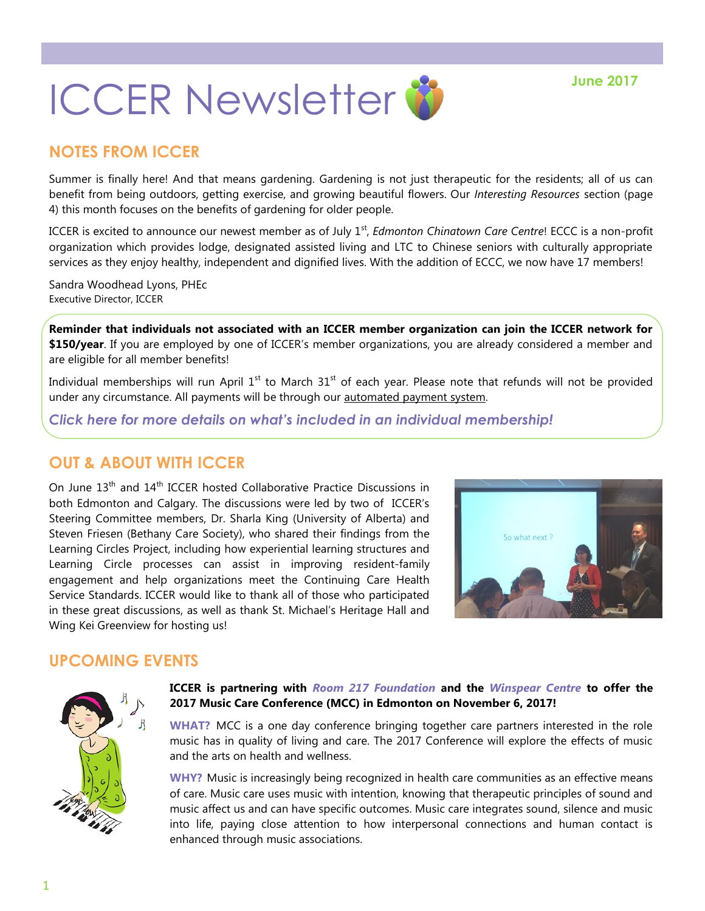

# **NOTES FROM ICCER**

Summer is finally here! And that means gardening. Gardening is not just therapeutic for the residents; all of us can benefit from being outdoors, getting exercise, and growing beautiful flowers. Our *Interesting Resources* section (page 4) this month focuses on the benefits of gardening for older people.

ICCER is excited to announce our newest member as of July 1<sup>st</sup>, *Edmonton Chinatown Care Centre*! ECCC is a non-profit organization which provides lodge, designated assisted living and LTC to Chinese seniors with culturally appropriate services as they enjoy healthy, independent and dignified lives. With the addition of ECCC, we now have 17 members!

Sandra Woodhead Lyons, PHEc Executive Director, ICCER

**Reminder that individuals not associated with an ICCER member organization can join the ICCER network for \$150/year**. If you are employed by one of ICCER's member organizations, you are already considered a member and are eligible for all member benefits!

Individual memberships will run April  $1<sup>st</sup>$  to March  $31<sup>st</sup>$  of each year. Please note that refunds will not be provided under any circumstance. All payments will be through our [automated payment system.](https://payment.augustana.ualberta.ca/store/Rehab+Medicine+-+ICCER+Store/)

*[Click here for more details on what's included in an individual membership!](http://iccer.ca/im.html)*

## **OUT & ABOUT WITH ICCER**

On June 13<sup>th</sup> and 14<sup>th</sup> ICCER hosted Collaborative Practice Discussions in both Edmonton and Calgary. The discussions were led by two of ICCER's Steering Committee members, Dr. Sharla King (University of Alberta) and Steven Friesen (Bethany Care Society), who shared their findings from the Learning Circles Project, including how experiential learning structures and Learning Circle processes can assist in improving resident-family engagement and help organizations meet the Continuing Care Health Service Standards. ICCER would like to thank all of those who participated in these great discussions, as well as thank St. Michael's Heritage Hall and Wing Kei Greenview for hosting us!



## **UPCOMING EVENTS**



### **ICCER is partnering with** *[Room 217 Foundation](https://www.room217.ca/)* **and the** *[Winspear Centre](https://www.winspearcentre.com/wins-home?view=featured)* **to offer the 2017 Music Care Conference (MCC) in Edmonton on November 6, 2017!**

**WHAT?** MCC is a one day conference bringing together care partners interested in the role music has in quality of living and care. The 2017 Conference will explore the effects of music and the arts on health and wellness.

**WHY?** Music is increasingly being recognized in health care communities as an effective means of care. Music care uses music with intention, knowing that therapeutic principles of sound and music affect us and can have specific outcomes. Music care integrates sound, silence and music into life, paying close attention to how interpersonal connections and human contact is enhanced through music associations.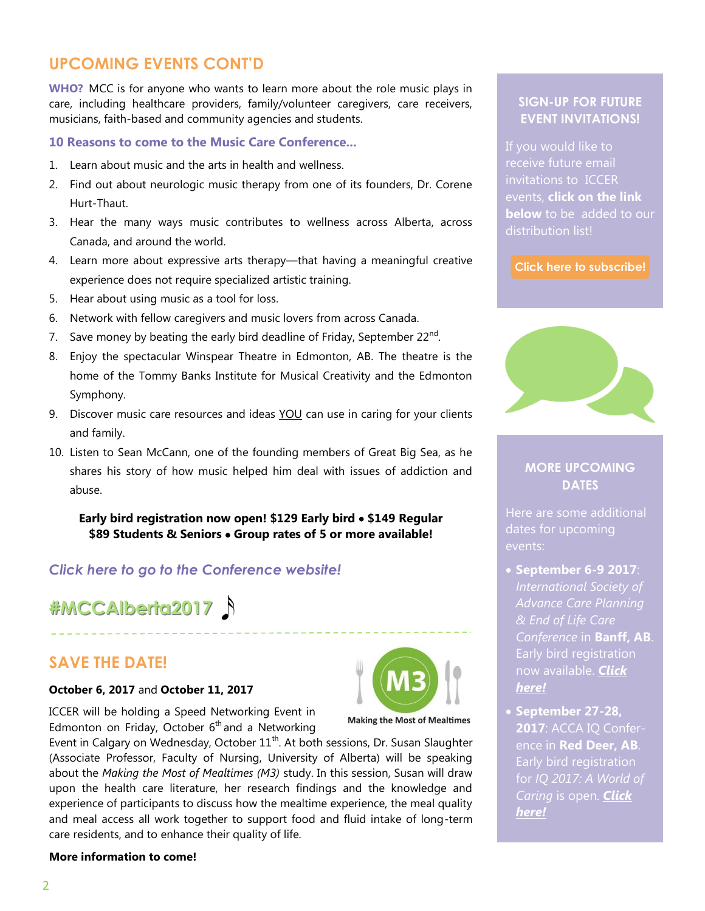## **UPCOMING EVENTS CONT'D**

**WHO?** MCC is for anyone who wants to learn more about the role music plays in care, including healthcare providers, family/volunteer caregivers, care receivers, musicians, faith-based and community agencies and students.

### **10 Reasons to come to the Music Care Conference...**

- 1. Learn about music and the arts in health and wellness.
- 2. Find out about neurologic music therapy from one of its founders, Dr. Corene Hurt-Thaut.
- 3. Hear the many ways music contributes to wellness across Alberta, across Canada, and around the world.
- 4. Learn more about expressive arts therapy—that having a meaningful creative experience does not require specialized artistic training.
- 5. Hear about using music as a tool for loss.
- 6. Network with fellow caregivers and music lovers from across Canada.
- 7. Save money by beating the early bird deadline of Friday, September 22 $^{\text{nd}}$ .
- 8. Enjoy the spectacular Winspear Theatre in Edmonton, AB. The theatre is the home of the Tommy Banks Institute for Musical Creativity and the Edmonton Symphony.
- 9. Discover music care resources and ideas YOU can use in caring for your clients and family.
- 10. Listen to Sean McCann, one of the founding members of Great Big Sea, as he shares his story of how music helped him deal with issues of addiction and abuse.

**Early bird registration now open! \$129 Early bird \$149 Regular \$89 Students & Seniors Group rates of 5 or more available!**

### *[Click here to go to the Conference website!](https://www.musiccareconference.ca/)*

**#MCCAlberta2017** 

## **SAVE THE DATE!**

### **October 6, 2017** and **October 11, 2017**

ICCER will be holding a Speed Networking Event in Edmonton on Friday, October  $6<sup>th</sup>$  and a Networking



**Making the Most of Mealtimes** 

## **SIGN-UP FOR FUTURE EVENT INVITATIONS!**

If you would like to receive future email invitations to ICCER events, **click on the link below** to be added to our distribution list!

**[Click here to subscribe!](https://visitor.r20.constantcontact.com/manage/optin?v=001MqUcqqvjwLD850nipaor0HtdI1Y9d8ED2u9ivDzRV7Gp5uTyf2p54vfsufOQXL7BcGZnnLM-9yRAw3TIqncd_CNV4yZzfE9gE8XUs-KE6So%3D)**



### **MORE UPCOMING DATES**

Here are some additional events:

- **September 6-9 2017**: *Advance Care Planning Conference* in **Banff, AB**. Early bird registration now available. *[Click](https://www.acpel2017.org/)  [here!](https://www.acpel2017.org/)*
- **September 27-28, 2017**: ACCA IQ Conference in **Red Deer, AB**. Early bird registration for *IQ 2017: A World of Caring* is open. *[Click](http://www.accaiq.com/)  [here!](http://www.accaiq.com/)*

### **More information to come!**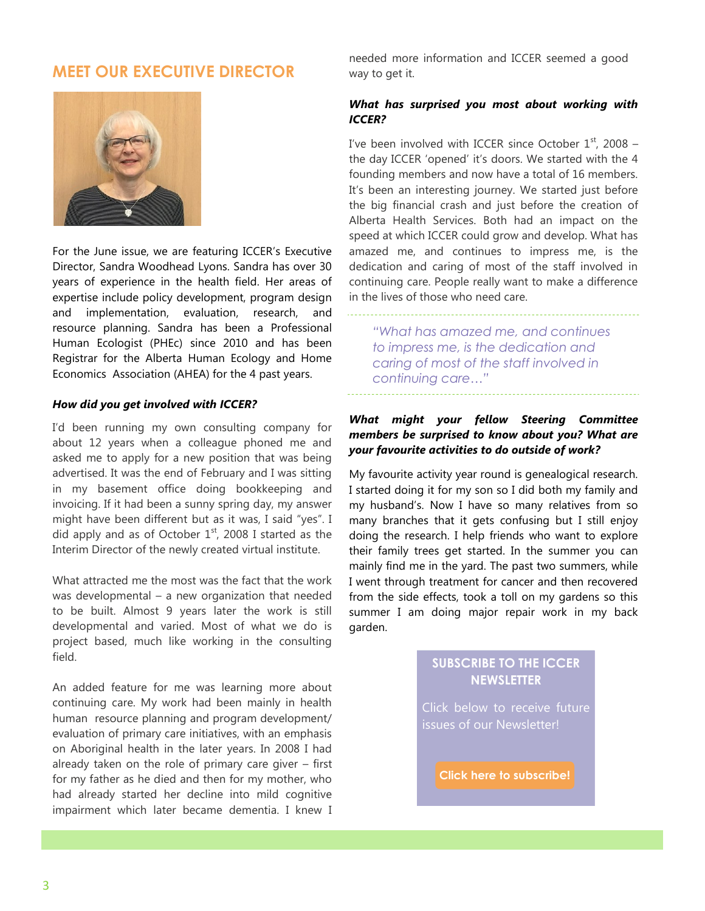## **MEET OUR EXECUTIVE DIRECTOR**



For the June issue, we are featuring ICCER's Executive Director, Sandra Woodhead Lyons. Sandra has over 30 years of experience in the health field. Her areas of expertise include policy development, program design and implementation, evaluation, research, and resource planning. Sandra has been a Professional Human Ecologist (PHEc) since 2010 and has been Registrar for the Alberta Human Ecology and Home Economics Association (AHEA) for the 4 past years.

#### *How did you get involved with ICCER?*

I'd been running my own consulting company for about 12 years when a colleague phoned me and asked me to apply for a new position that was being advertised. It was the end of February and I was sitting in my basement office doing bookkeeping and invoicing. If it had been a sunny spring day, my answer might have been different but as it was, I said "yes". I did apply and as of October  $1<sup>st</sup>$ , 2008 I started as the Interim Director of the newly created virtual institute.

What attracted me the most was the fact that the work was developmental – a new organization that needed to be built. Almost 9 years later the work is still developmental and varied. Most of what we do is project based, much like working in the consulting field.

An added feature for me was learning more about continuing care. My work had been mainly in health human resource planning and program development/ evaluation of primary care initiatives, with an emphasis on Aboriginal health in the later years. In 2008 I had already taken on the role of primary care giver – first for my father as he died and then for my mother, who had already started her decline into mild cognitive impairment which later became dementia. I knew I

needed more information and ICCER seemed a good way to get it.

#### *What has surprised you most about working with ICCER?*

I've been involved with ICCER since October  $1<sup>st</sup>$ , 2008 – the day ICCER 'opened' it's doors. We started with the 4 founding members and now have a total of 16 members. It's been an interesting journey. We started just before the big financial crash and just before the creation of Alberta Health Services. Both had an impact on the speed at which ICCER could grow and develop. What has amazed me, and continues to impress me, is the dedication and caring of most of the staff involved in continuing care. People really want to make a difference in the lives of those who need care.

*"What has amazed me, and continues to impress me, is the dedication and caring of most of the staff involved in continuing care…"*

#### *What might your fellow Steering Committee members be surprised to know about you? What are your favourite activities to do outside of work?*

My favourite activity year round is genealogical research. I started doing it for my son so I did both my family and my husband's. Now I have so many relatives from so many branches that it gets confusing but I still enjoy doing the research. I help friends who want to explore their family trees get started. In the summer you can mainly find me in the yard. The past two summers, while I went through treatment for cancer and then recovered from the side effects, took a toll on my gardens so this summer I am doing major repair work in my back garden.

### **SUBSCRIBE TO THE ICCER NEWSLETTER**

Click below to receive future issues of our Newsletter!

**[Click here to subscribe!](https://visitor.r20.constantcontact.com/manage/optin?v=001MqUcqqvjwLD850nipaor0JfDCl8lWHPtLmDKE1oKVPadFtCKS64MCgzWnGgYOX6ySCwPrvn1SoXo9nCXIBnYp6cVIXF92mMQ7-obGrUeUfo%3D)**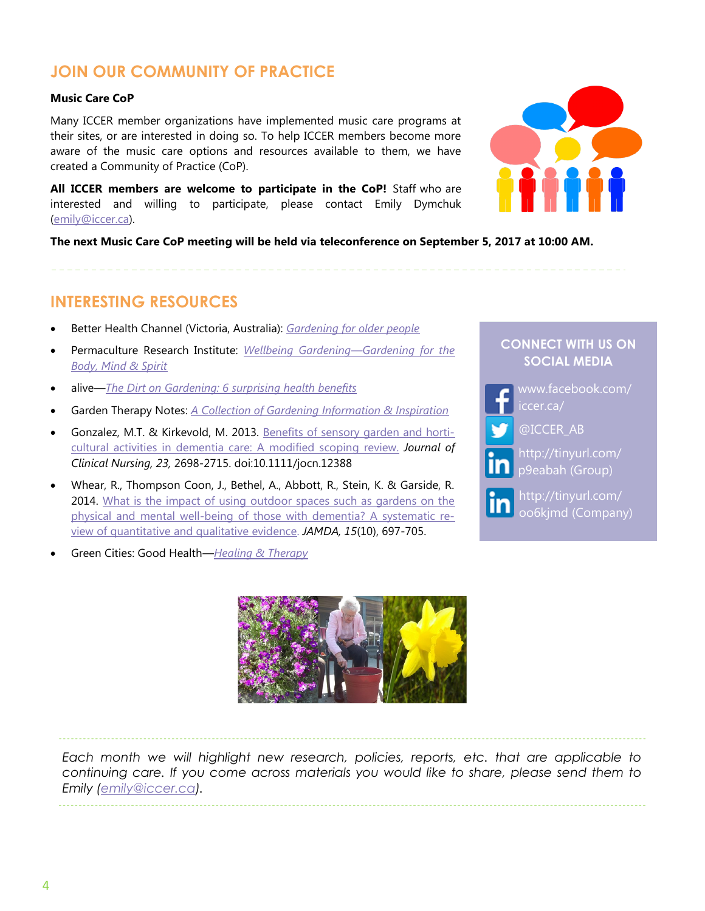# **JOIN OUR COMMUNITY OF PRACTICE**

#### **Music Care CoP**

Many ICCER member organizations have implemented music care programs at their sites, or are interested in doing so. To help ICCER members become more aware of the music care options and resources available to them, we have created a Community of Practice (CoP).

**All ICCER members are welcome to participate in the CoP!** Staff who are interested and willing to participate, please contact Emily Dymchuk ([emily@iccer.ca\)](mailto:emily@iccer.ca).

**The next Music Care CoP meeting will be held via teleconference on September 5, 2017 at 10:00 AM.** 

## **INTERESTING RESOURCES**

- Better Health Channel (Victoria, Australia): *[Gardening for older people](https://www.betterhealth.vic.gov.au/health/healthyliving/gardening-for-older-people)*
- Permaculture Research Institute: *[Wellbeing Gardening](https://permaculturenews.org/2013/06/05/wellbeing-gardening-gardening-for-the-body-mind-spirit/)—Gardening for the [Body, Mind & Spirit](https://permaculturenews.org/2013/06/05/wellbeing-gardening-gardening-for-the-body-mind-spirit/)*
- alive—*[The Dirt on Gardening: 6 surprising health benefits](http://www.alive.com/lifestyle/the-dirt-on-gardening)*
- Garden Therapy Notes: *[A Collection of Gardening Information & Inspiration](http://www.gardentherapynotes.com/Horticultural-Therapy-Activities.html)*
- Gonzalez, M.T. & Kirkevold, M. 2013. [Benefits of sensory garden and horti](http://onlinelibrary.wiley.com/doi/10.1111/jocn.12388/epdf)[cultural activities in dementia care: A modified scoping review.](http://onlinelibrary.wiley.com/doi/10.1111/jocn.12388/epdf) *Journal of Clinical Nursing, 23,* 2698-2715. doi:10.1111/jocn.12388
- Whear, R., Thompson Coon, J., Bethel, A., Abbott, R., Stein, K. & Garside, R. 2014. [What is the impact of using outdoor spaces such as gardens on the](http://www.sciencedirect.com/science/article/pii/S1525861014003399?via%3Dihub)  [physical and mental well-being of those with dementia? A systematic re](http://www.sciencedirect.com/science/article/pii/S1525861014003399?via%3Dihub)[view of quantitative and qualitative evidence.](http://www.sciencedirect.com/science/article/pii/S1525861014003399?via%3Dihub) *JAMDA, 15*(10), 697-705.



[http://tinyurl.com/](http://tinyurl.com/p9eabah)

**CONNECT WITH US ON** 

[p9eabah](http://tinyurl.com/p9eabah) (Group)



[http://tinyurl.com/](http://tinyurl.com/oo6kjmd) [oo6kjmd](http://tinyurl.com/oo6kjmd) (Company)

Green Cities: Good Health*—[Healing & Therapy](https://depts.washington.edu/hhwb/Thm_Healing.html)*



*Each month we will highlight new research, policies, reports, etc. that are applicable to continuing care. If you come across materials you would like to share, please send them to Emily ([emily@iccer.ca\).](mailto:emily@iccer.ca)*